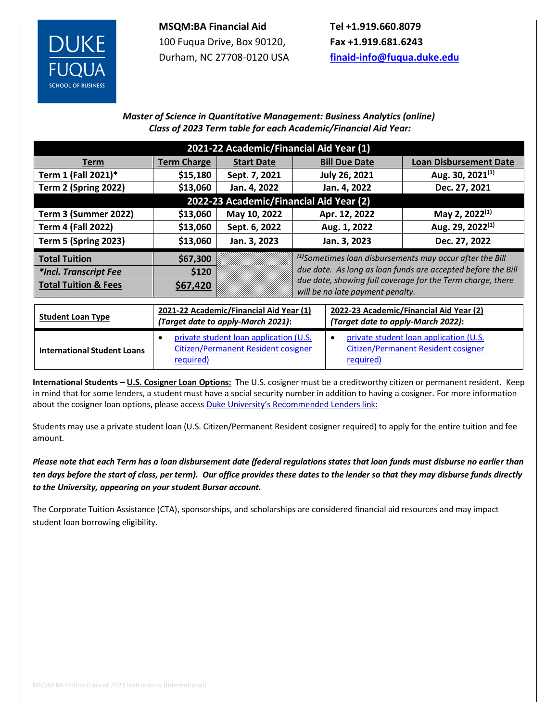

## **MSQM:BA Financial Aid**

100 Fuqua Drive, Box 90120, Durham, NC 27708-0120 USA

**Tel +1.919.660.8079 Fax +1.919.681.6243 [finaid-info@fuqua.duke.edu](mailto:finaid-info@fuqua.duke.edu)**

## *Master of Science in Quantitative Management: Business Analytics (online) Class of 2023 Term table for each Academic/Financial Aid Year:*

| 2021-22 Academic/Financial Aid Year (1) |                                                                                                 |                                                                               |                                                                                                |                                                                                                         |                                                                      |  |  |  |  |  |  |
|-----------------------------------------|-------------------------------------------------------------------------------------------------|-------------------------------------------------------------------------------|------------------------------------------------------------------------------------------------|---------------------------------------------------------------------------------------------------------|----------------------------------------------------------------------|--|--|--|--|--|--|
| Term                                    | <b>Term Charge</b>                                                                              | <b>Start Date</b>                                                             |                                                                                                | <b>Bill Due Date</b>                                                                                    | <b>Loan Disbursement Date</b>                                        |  |  |  |  |  |  |
| Term 1 (Fall 2021)*                     | \$15,180                                                                                        | Sept. 7, 2021                                                                 |                                                                                                | July 26, 2021                                                                                           | Aug. 30, 2021 <sup>(1)</sup>                                         |  |  |  |  |  |  |
| Term 2 (Spring 2022)                    | \$13,060                                                                                        | Jan. 4, 2022                                                                  |                                                                                                | Jan. 4, 2022                                                                                            | Dec. 27, 2021                                                        |  |  |  |  |  |  |
| 2022-23 Academic/Financial Aid Year (2) |                                                                                                 |                                                                               |                                                                                                |                                                                                                         |                                                                      |  |  |  |  |  |  |
| Term 3 (Summer 2022)                    | \$13,060                                                                                        | May 10, 2022                                                                  | Apr. 12, 2022                                                                                  |                                                                                                         | May 2, 2022 <sup>(1)</sup>                                           |  |  |  |  |  |  |
| <b>Term 4 (Fall 2022)</b>               | \$13,060                                                                                        | Sept. 6, 2022                                                                 | Aug. 1, 2022                                                                                   |                                                                                                         | Aug. 29, 2022 <sup>(1)</sup>                                         |  |  |  |  |  |  |
| <b>Term 5 (Spring 2023)</b>             | \$13,060                                                                                        | Jan. 3, 2023                                                                  | Jan. 3, 2023                                                                                   |                                                                                                         | Dec. 27, 2022                                                        |  |  |  |  |  |  |
| <b>Total Tuition</b>                    | \$67,300                                                                                        |                                                                               |                                                                                                |                                                                                                         | <sup>(1)</sup> Sometimes loan disbursements may occur after the Bill |  |  |  |  |  |  |
| *Incl. Transcript Fee                   | \$120                                                                                           |                                                                               | due date. As long as loan funds are accepted before the Bill                                   |                                                                                                         |                                                                      |  |  |  |  |  |  |
| <b>Total Tuition &amp; Fees</b>         | \$67,420                                                                                        |                                                                               | due date, showing full coverage for the Term charge, there<br>will be no late payment penalty. |                                                                                                         |                                                                      |  |  |  |  |  |  |
|                                         |                                                                                                 |                                                                               |                                                                                                |                                                                                                         |                                                                      |  |  |  |  |  |  |
| <b>Student Loan Type</b>                |                                                                                                 | 2021-22 Academic/Financial Aid Year (1)<br>(Target date to apply-March 2021): |                                                                                                | 2022-23 Academic/Financial Aid Year (2)<br>(Target date to apply-March 2022):                           |                                                                      |  |  |  |  |  |  |
| <b>International Student Loans</b>      | private student loan application (U.S.<br>٠<br>Citizen/Permanent Resident cosigner<br>required) |                                                                               |                                                                                                | private student loan application (U.S.<br>$\bullet$<br>Citizen/Permanent Resident cosigner<br>required) |                                                                      |  |  |  |  |  |  |

**International Students – U.S. Cosigner Loan Options:** The U.S. cosigner must be a creditworthy citizen or permanent resident. Keep in mind that for some lenders, a student must have a social security number in addition to having a cosigner. For more information about the cosigner loan options, please access [Duke University's Recommended Lenders link](https://financialaid.duke.edu/recommended-lenders/):

Students may use a private student loan (U.S. Citizen/Permanent Resident cosigner required) to apply for the entire tuition and fee amount.

*Please note that each Term has a loan disbursement date (federal regulations states that loan funds must disburse no earlier than ten days before the start of class, per term). Our office provides these dates to the lender so that they may disburse funds directly to the University, appearing on your student Bursar account.*

The Corporate Tuition Assistance (CTA), sponsorships, and scholarships are considered financial aid resources and may impact student loan borrowing eligibility.